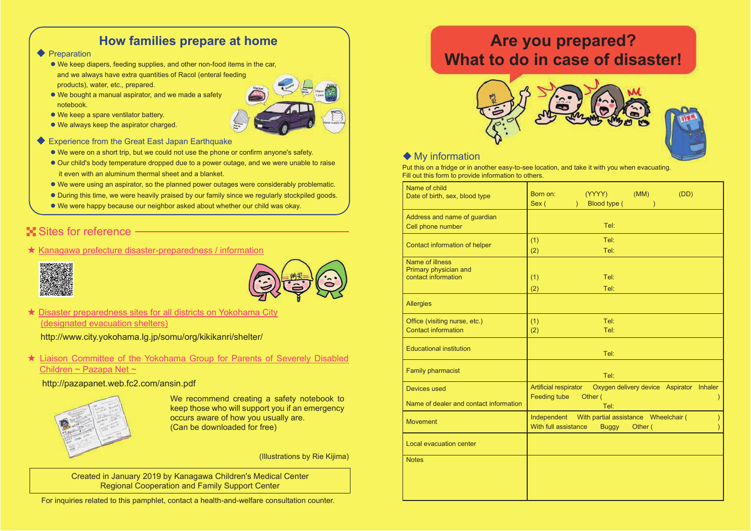#### **How families prepare at home**

- ◆ Preparation
	- $\bullet$  We keep diapers, feeding supplies, and other non-food items in the car, and we always have extra quantities of Racol (enteral feeding products), water, etc., prepared.
	- $\bullet$  We bought a manual aspirator, and we made a safety notebook.



- $\bullet$  We keep a spare ventilator battery.
- $\bullet$  We always keep the aspirator charged.
- Experience from the Great East Japan Earthquake
	- We were on a short trip, but we could not use the phone or confirm anyone's safety.
	- Our child's body temperature dropped due to a power outage, and we were unable to raise it even with an aluminum thermal sheet and a blanket.
	- We were using an aspirator, so the planned power outages were considerably problematic.
	- During this time, we were heavily praised by our family since we regularly stockpiled goods.
	- We were happy because our neighbor asked about whether our child was okay.

#### **Sites for reference**

★ Kanagawa prefecture disaster-preparedness / information





★ Disaster preparedness sites for all districts on Yokohama City (designated evacuation shelters)

http://www.city.yokohama.lg.jp/somu/org/kikikanri/shelter/

★ Liaison Committee of the Yokohama Group for Parents of Severely Disabled Children ~ Pazapa Net ~

#### http://pazapanet.web.fc2.com/ansin.pdf



We recommend creating a safety notebook to keep those who will support you if an emergency occurs aware of how you usually are. (Can be downloaded for free)

(Illustrations by Rie Kijima)

Created in January 2019 by Kanagawa Children's Medical Center Regional Cooperation and Family Support Center

For inquiries related to this pamphlet, contact a health-and-welfare consultation counter.

# **Are you prepared? What to do in case of disaster!**



#### ◆ My information

Put this on a fridge or in another easy-to-see location, and take it with you when evacuating. Fill out this form to provide information to others.

| Name of child<br>Date of birth, sex, blood type                 | (YYYY)<br>(MM)<br>(DD)<br>Born on:<br>Blood type (<br>Sex (<br>$\mathcal{L}$<br>$\lambda$                   |
|-----------------------------------------------------------------|-------------------------------------------------------------------------------------------------------------|
| Address and name of guardian<br>Cell phone number               | Tel:                                                                                                        |
| Contact information of helper                                   | Tel:<br>(1)<br>(2)<br>Tel:                                                                                  |
| Name of illness<br>Primary physician and<br>contact information | Tel:<br>(1)<br>Tel:<br>(2)                                                                                  |
| <b>Allergies</b>                                                |                                                                                                             |
| Office (visiting nurse, etc.)<br><b>Contact information</b>     | Tel:<br>(1)<br>Tel:<br>(2)                                                                                  |
| <b>Educational institution</b>                                  | Tel:                                                                                                        |
| <b>Family pharmacist</b>                                        | Tel:                                                                                                        |
| Devices used<br>Name of dealer and contact information          | Artificial respirator<br>Oxygen delivery device Aspirator Inhaler<br><b>Feeding tube</b><br>Other (<br>Tel: |
| <b>Movement</b>                                                 | Independent<br>With partial assistance Wheelchair (<br>With full assistance<br>Other (<br><b>Buggy</b>      |
| Local evacuation center                                         |                                                                                                             |
| <b>Notes</b>                                                    |                                                                                                             |